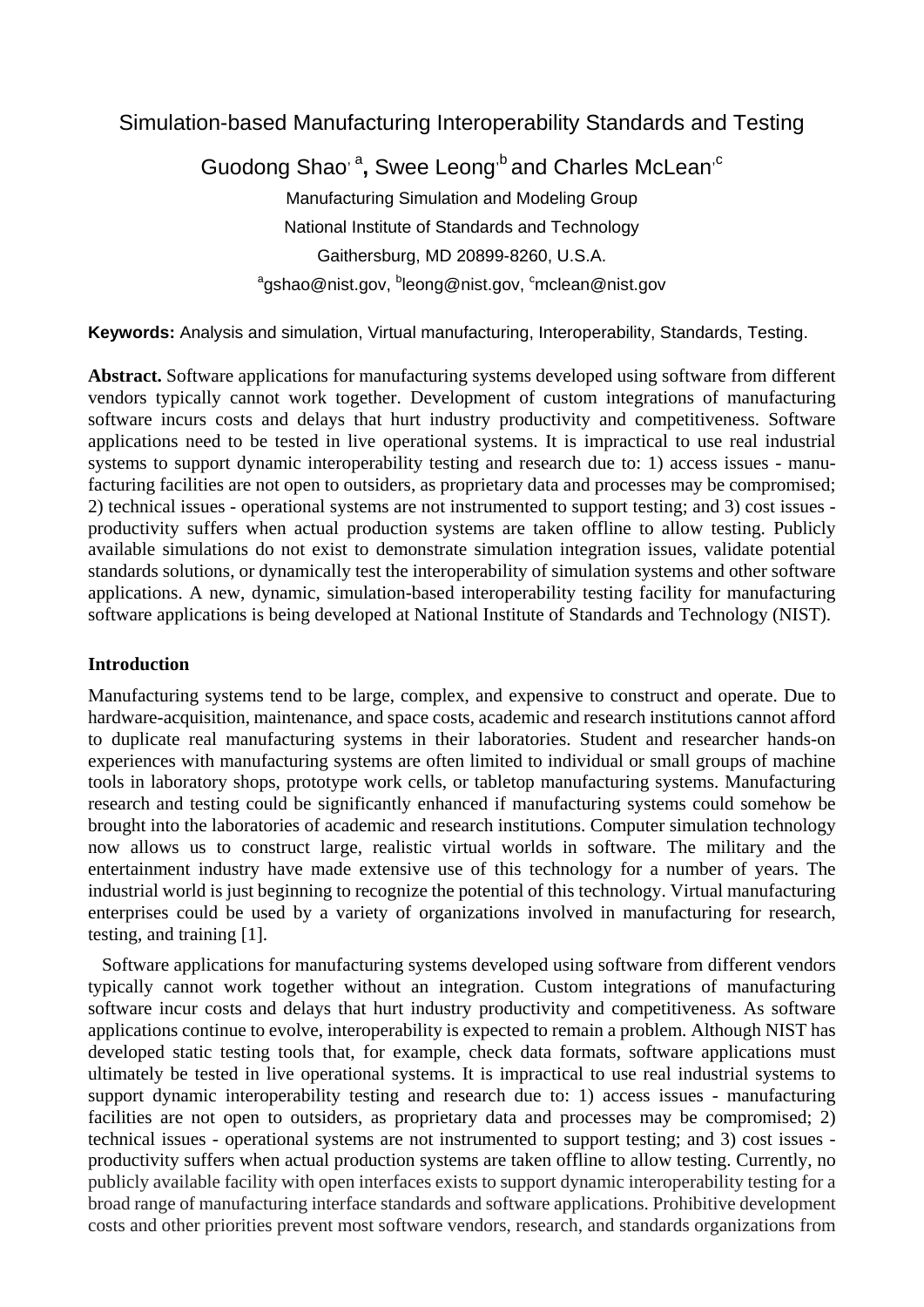Simulation-based Manufacturing Interoperability Standards and Testing

Guodong Shao<sup>, a</sup>, Swee Leong<sup>,b</sup> and Charles McLean<sup>,c</sup> Manufacturing Simulation and Modeling Group National Institute of Standards and Technology Gaithersburg, MD 20899-8260, U.S.A. <sup>a</sup>gshao@nist.gov, <sup>b</sup>leong@nist.gov, <sup>c</sup>mclean@nist.gov

**Keywords:** Analysis and simulation, Virtual manufacturing, Interoperability, Standards, Testing.

**Abstract.** Software applications for manufacturing systems developed using software from different vendors typically cannot work together. Development of custom integrations of manufacturing software incurs costs and delays that hurt industry productivity and competitiveness. Software applications need to be tested in live operational systems. It is impractical to use real industrial systems to support dynamic interoperability testing and research due to: 1) access issues - manufacturing facilities are not open to outsiders, as proprietary data and processes may be compromised; 2) technical issues - operational systems are not instrumented to support testing; and 3) cost issues productivity suffers when actual production systems are taken offline to allow testing. Publicly available simulations do not exist to demonstrate simulation integration issues, validate potential standards solutions, or dynamically test the interoperability of simulation systems and other software applications. A new, dynamic, simulation-based interoperability testing facility for manufacturing software applications is being developed at National Institute of Standards and Technology (NIST).

### **Introduction**

Manufacturing systems tend to be large, complex, and expensive to construct and operate. Due to hardware-acquisition, maintenance, and space costs, academic and research institutions cannot afford to duplicate real manufacturing systems in their laboratories. Student and researcher hands-on experiences with manufacturing systems are often limited to individual or small groups of machine tools in laboratory shops, prototype work cells, or tabletop manufacturing systems. Manufacturing research and testing could be significantly enhanced if manufacturing systems could somehow be brought into the laboratories of academic and research institutions. Computer simulation technology now allows us to construct large, realistic virtual worlds in software. The military and the entertainment industry have made extensive use of this technology for a number of years. The industrial world is just beginning to recognize the potential of this technology. Virtual manufacturing enterprises could be used by a variety of organizations involved in manufacturing for research, testing, and training [1].

 Software applications for manufacturing systems developed using software from different vendors typically cannot work together without an integration. Custom integrations of manufacturing software incur costs and delays that hurt industry productivity and competitiveness. As software applications continue to evolve, interoperability is expected to remain a problem. Although NIST has developed static testing tools that, for example, check data formats, software applications must ultimately be tested in live operational systems. It is impractical to use real industrial systems to support dynamic interoperability testing and research due to: 1) access issues - manufacturing facilities are not open to outsiders, as proprietary data and processes may be compromised; 2) technical issues - operational systems are not instrumented to support testing; and 3) cost issues productivity suffers when actual production systems are taken offline to allow testing. Currently, no publicly available facility with open interfaces exists to support dynamic interoperability testing for a broad range of manufacturing interface standards and software applications. Prohibitive development costs and other priorities prevent most software vendors, research, and standards organizations from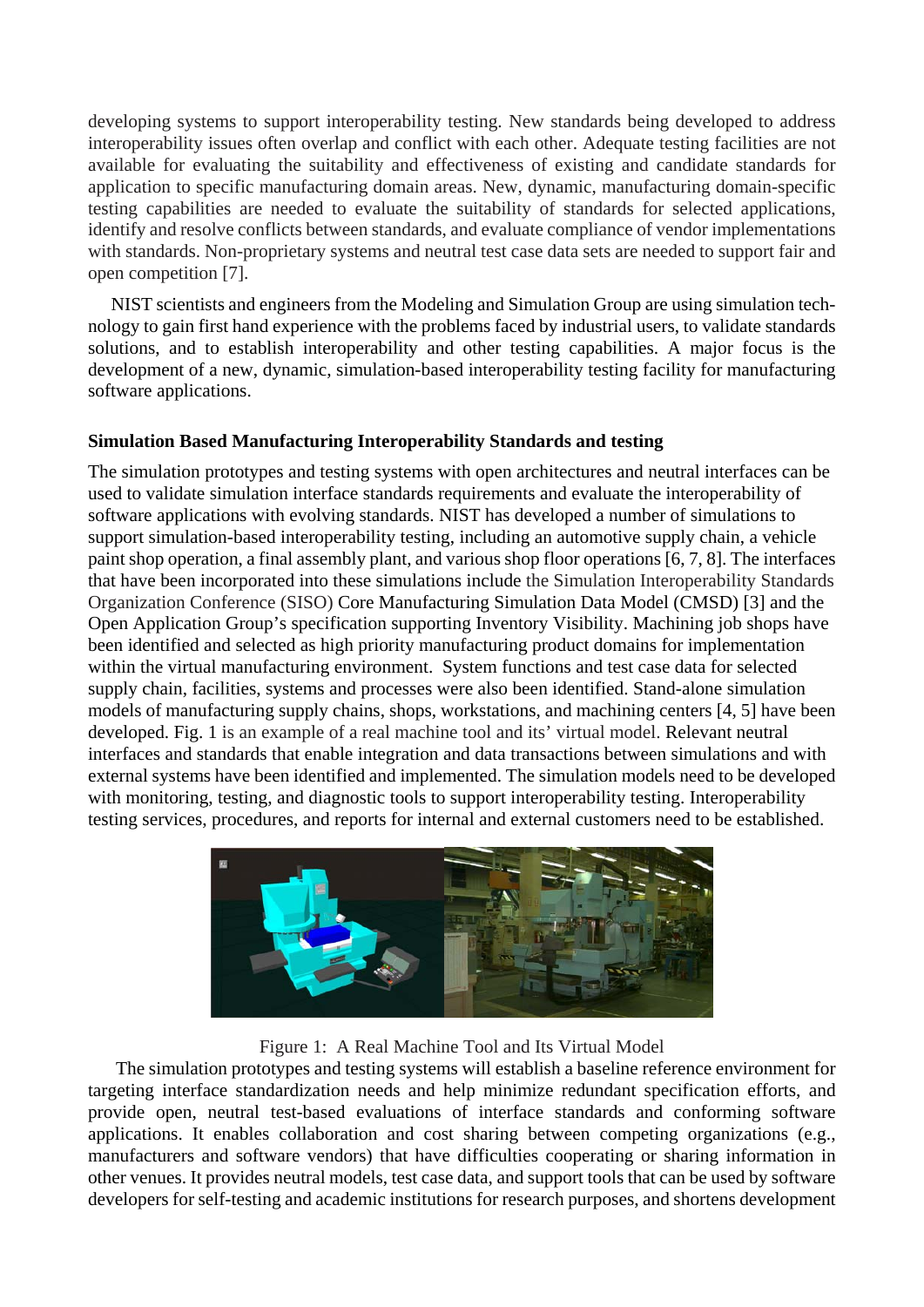developing systems to support interoperability testing. New standards being developed to address interoperability issues often overlap and conflict with each other. Adequate testing facilities are not available for evaluating the suitability and effectiveness of existing and candidate standards for application to specific manufacturing domain areas. New, dynamic, manufacturing domain-specific testing capabilities are needed to evaluate the suitability of standards for selected applications, identify and resolve conflicts between standards, and evaluate compliance of vendor implementations with standards. Non-proprietary systems and neutral test case data sets are needed to support fair and open competition [7].

 NIST scientists and engineers from the Modeling and Simulation Group are using simulation technology to gain first hand experience with the problems faced by industrial users, to validate standards solutions, and to establish interoperability and other testing capabilities. A major focus is the development of a new, dynamic, simulation-based interoperability testing facility for manufacturing software applications.

# **Simulation Based Manufacturing Interoperability Standards and testing**

The simulation prototypes and testing systems with open architectures and neutral interfaces can be used to validate simulation interface standards requirements and evaluate the interoperability of software applications with evolving standards. NIST has developed a number of simulations to support simulation-based interoperability testing, including an automotive supply chain, a vehicle paint shop operation, a final assembly plant, and various shop floor operations [6, 7, 8]. The interfaces that have been incorporated into these simulations include the Simulation Interoperability Standards Organization Conference (SISO) Core Manufacturing Simulation Data Model (CMSD) [3] and the Open Application Group's specification supporting Inventory Visibility. Machining job shops have been identified and selected as high priority manufacturing product domains for implementation within the virtual manufacturing environment. System functions and test case data for selected supply chain, facilities, systems and processes were also been identified. Stand-alone simulation models of manufacturing supply chains, shops, workstations, and machining centers [4, 5] have been developed. Fig. 1 is an example of a real machine tool and its' virtual model. Relevant neutral interfaces and standards that enable integration and data transactions between simulations and with external systems have been identified and implemented. The simulation models need to be developed with monitoring, testing, and diagnostic tools to support interoperability testing. Interoperability testing services, procedures, and reports for internal and external customers need to be established.



Figure 1: A Real Machine Tool and Its Virtual Model

 The simulation prototypes and testing systems will establish a baseline reference environment for targeting interface standardization needs and help minimize redundant specification efforts, and provide open, neutral test-based evaluations of interface standards and conforming software applications. It enables collaboration and cost sharing between competing organizations (e.g., manufacturers and software vendors) that have difficulties cooperating or sharing information in other venues. It provides neutral models, test case data, and support tools that can be used by software developers for self-testing and academic institutions for research purposes, and shortens development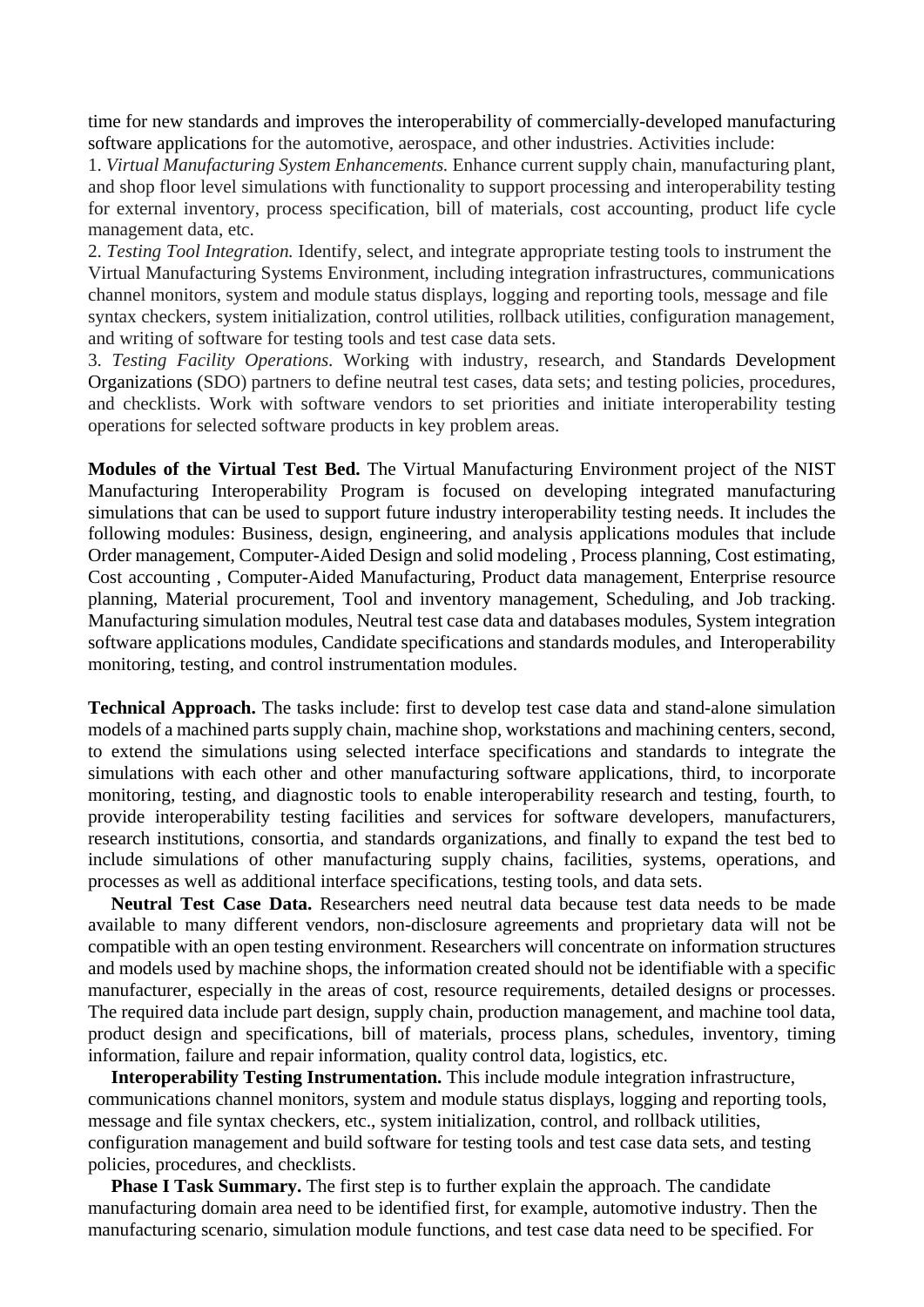time for new standards and improves the interoperability of commercially-developed manufacturing software applications for the automotive, aerospace, and other industries. Activities include:

1. *Virtual Manufacturing System Enhancements.* Enhance current supply chain, manufacturing plant, and shop floor level simulations with functionality to support processing and interoperability testing for external inventory, process specification, bill of materials, cost accounting, product life cycle management data, etc.

2. *Testing Tool Integration.* Identify, select, and integrate appropriate testing tools to instrument the Virtual Manufacturing Systems Environment, including integration infrastructures, communications channel monitors, system and module status displays, logging and reporting tools, message and file syntax checkers, system initialization, control utilities, rollback utilities, configuration management, and writing of software for testing tools and test case data sets.

3. *Testing Facility Operations.* Working with industry, research, and Standards Development Organizations (SDO) partners to define neutral test cases, data sets; and testing policies, procedures, and checklists. Work with software vendors to set priorities and initiate interoperability testing operations for selected software products in key problem areas.

**Modules of the Virtual Test Bed.** The Virtual Manufacturing Environment project of the NIST Manufacturing Interoperability Program is focused on developing integrated manufacturing simulations that can be used to support future industry interoperability testing needs. It includes the following modules: Business, design, engineering, and analysis applications modules that include Order management, Computer-Aided Design and solid modeling , Process planning, Cost estimating, Cost accounting , Computer-Aided Manufacturing, Product data management, Enterprise resource planning, Material procurement, Tool and inventory management, Scheduling, and Job tracking. Manufacturing simulation modules, Neutral test case data and databases modules, System integration software applications modules, Candidate specifications and standards modules, and Interoperability monitoring, testing, and control instrumentation modules.

**Technical Approach.** The tasks include: first to develop test case data and stand-alone simulation models of a machined parts supply chain, machine shop, workstations and machining centers, second, to extend the simulations using selected interface specifications and standards to integrate the simulations with each other and other manufacturing software applications, third, to incorporate monitoring, testing, and diagnostic tools to enable interoperability research and testing, fourth, to provide interoperability testing facilities and services for software developers, manufacturers, research institutions, consortia, and standards organizations, and finally to expand the test bed to include simulations of other manufacturing supply chains, facilities, systems, operations, and processes as well as additional interface specifications, testing tools, and data sets.

 **Neutral Test Case Data.** Researchers need neutral data because test data needs to be made available to many different vendors, non-disclosure agreements and proprietary data will not be compatible with an open testing environment. Researchers will concentrate on information structures and models used by machine shops, the information created should not be identifiable with a specific manufacturer, especially in the areas of cost, resource requirements, detailed designs or processes. The required data include part design, supply chain, production management, and machine tool data, product design and specifications, bill of materials, process plans, schedules, inventory, timing information, failure and repair information, quality control data, logistics, etc.

 **Interoperability Testing Instrumentation.** This include module integration infrastructure, communications channel monitors, system and module status displays, logging and reporting tools, message and file syntax checkers, etc., system initialization, control, and rollback utilities, configuration management and build software for testing tools and test case data sets, and testing policies, procedures, and checklists.

 **Phase I Task Summary.** The first step is to further explain the approach. The candidate manufacturing domain area need to be identified first, for example, automotive industry. Then the manufacturing scenario, simulation module functions, and test case data need to be specified. For